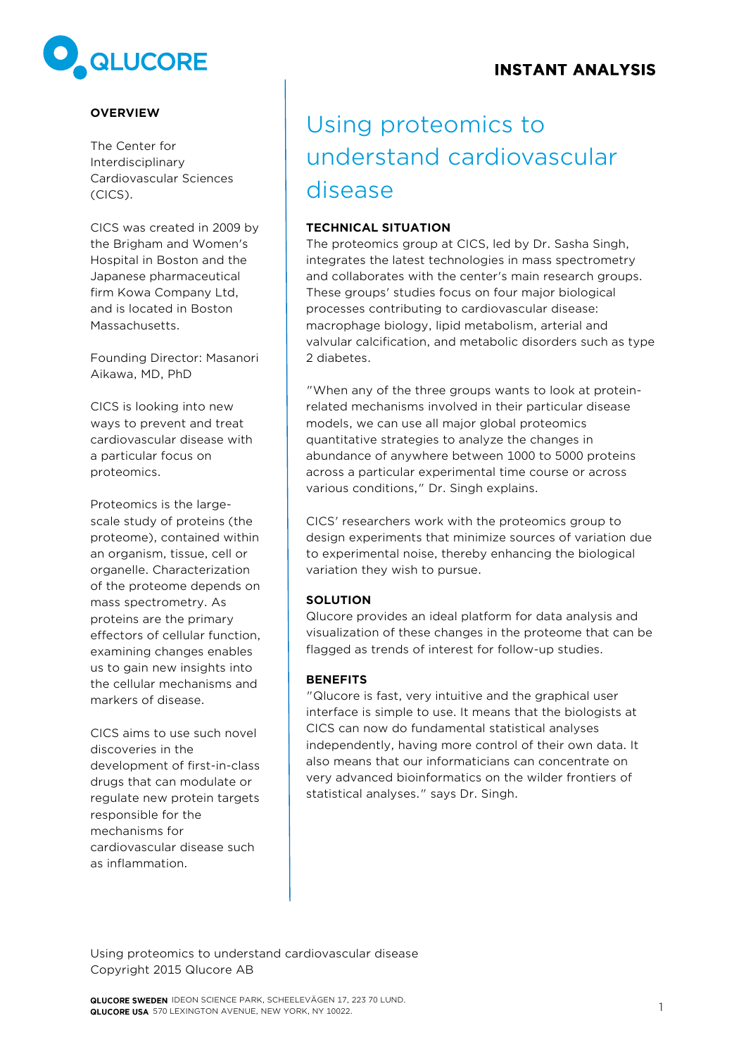# **QLUCORE**

## **OVERVIEW**

The Center for Interdisciplinary Cardiovascular Sciences (CICS).

CICS was created in 2009 by the Brigham and Women's Hospital in Boston and the Japanese pharmaceutical firm Kowa Company Ltd, and is located in Boston Massachusetts.

Founding Director: Masanori Aikawa, MD, PhD

CICS is looking into new ways to prevent and treat cardiovascular disease with a particular focus on proteomics.

Proteomics is the largescale study of proteins (the proteome), contained within an organism, tissue, cell or organelle. Characterization of the proteome depends on mass spectrometry. As proteins are the primary effectors of cellular function, examining changes enables us to gain new insights into the cellular mechanisms and markers of disease.

CICS aims to use such novel discoveries in the development of first-in-class drugs that can modulate or regulate new protein targets responsible for the mechanisms for cardiovascular disease such as inflammation.

# Using proteomics to understand cardiovascular disease

#### **TECHNICAL SITUATION**

The proteomics group at CICS, led by Dr. Sasha Singh, integrates the latest technologies in mass spectrometry and collaborates with the center's main research groups. These groups' studies focus on four major biological processes contributing to cardiovascular disease: macrophage biology, lipid metabolism, arterial and valvular calcification, and metabolic disorders such as type 2 diabetes.

"When any of the three groups wants to look at proteinrelated mechanisms involved in their particular disease models, we can use all major global proteomics quantitative strategies to analyze the changes in abundance of anywhere between 1000 to 5000 proteins across a particular experimental time course or across various conditions," Dr. Singh explains.

CICS' researchers work with the proteomics group to design experiments that minimize sources of variation due to experimental noise, thereby enhancing the biological variation they wish to pursue.

#### **SOLUTION**

Qlucore provides an ideal platform for data analysis and visualization of these changes in the proteome that can be flagged as trends of interest for follow-up studies.

#### **BENEFITS**

"Qlucore is fast, very intuitive and the graphical user interface is simple to use. It means that the biologists at CICS can now do fundamental statistical analyses independently, having more control of their own data. It also means that our informaticians can concentrate on very advanced bioinformatics on the wilder frontiers of statistical analyses." says Dr. Singh.

Using proteomics to understand cardiovascular disease Copyright 2015 Qlucore AB